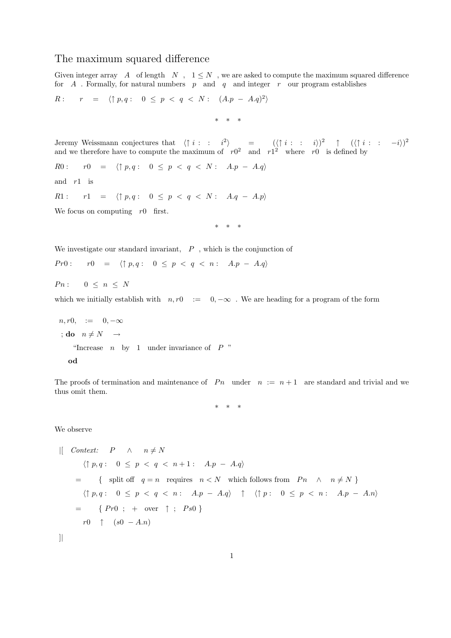## The maximum squared difference

Given integer array  $A$  of length  $N$ ,  $1 \leq N$ , we are asked to compute the maximum squared difference for  $A$ . Formally, for natural numbers  $p$  and  $q$  and integer  $r$  our program establishes

$$
R: \qquad r = \langle \uparrow p, q: 0 \le p < q < N: (A.p - A.q)^2 \rangle
$$

\* \* \*

Jeremy Weissmann conjectures that  $\langle \uparrow i : : i^2 \rangle$  =  $(\langle \uparrow i : : i \rangle)^2$   $\uparrow$   $(\langle \uparrow i : : -i \rangle)^2$ and we therefore have to compute the maximum of  $r0^2$  and  $r1^2$  where r0 is defined by

R0 :  $r0 = \langle \uparrow p, q : 0 \leq p < q < N : A.p - A.q \rangle$ 

and  $r1$  is

R1 :  $r1 = \langle \uparrow p, q : 0 \leq p < q < N : A.q - A.p \rangle$ 

We focus on computing  $r0$  first.

\* \* \*

We investigate our standard invariant,  $P$ , which is the conjunction of

$$
Pr0: \qquad r0 \quad = \quad \langle \uparrow p, q: \quad 0 \leq p \; < \; q \; < \; n: \quad A.p \; - \; A.q \rangle
$$

 $P n: \quad 0 \leq n \leq N$ 

which we initially establish with  $n, r0 := 0, -\infty$ . We are heading for a program of the form

$$
n, r0, := 0, -\infty
$$
  
\n
$$
;\mathbf{do} \quad n \neq N \rightarrow
$$
  
\n"Increase *n* by 1 under invariance of *P*"  
\n
$$
\mathbf{od}
$$

The proofs of termination and maintenance of Pn under  $n := n + 1$  are standard and trivial and we thus omit them.

\* \* \*

We observe

$$
\begin{array}{lll}\n\text{[} & \text{Context:} & P & \wedge & n \neq N \\
& \langle \uparrow p, q: 0 \leq p < q < n+1: A.p - A.q \rangle \\
& = & \{ \text{ split off } q = n \text{ requires } n < N \text{ which follows from } Pn \wedge n \neq N \} \\
& \langle \uparrow p, q: 0 \leq p < q < n: A.p - A.q \rangle \uparrow \langle \uparrow p: 0 \leq p < n: A.p - A.n \rangle \\
& = & \{ \text{Pr}0: + \text{over } \uparrow ; \text{Ps}0 \} \\
& r0 \uparrow (s0 - A.n)\n\end{array}
$$

]|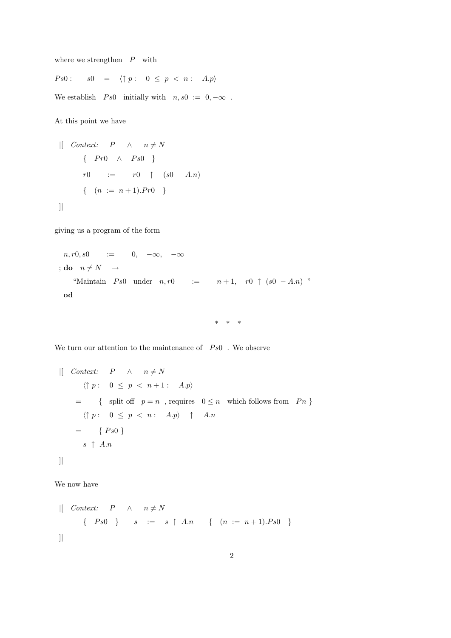where we strengthen  $P$  with

 $Ps0:$   $s0 = \langle \uparrow p : 0 \leq p < n : A.p \rangle$ 

We establish  $Ps0$  initially with  $n, s0 := 0, -\infty$ .

At this point we have

$$
\begin{array}{rcl}\n\text{[} & \text{Context:} & P & \wedge & n \neq N \\
\text{ } & \{ \quad Pr0 \quad \wedge & Ps0 \quad \} \\
\text{ } & r0 & := & r0 \quad \uparrow & (s0 - A.n) \\
\text{ } & \{ \quad (n := n + 1).Pr0 \quad \} \\
\text{]}\n\end{array}
$$

giving us a program of the form

$$
n, r0, s0 := 0, -\infty, -\infty
$$
  
\n
$$
; do n \neq N \rightarrow
$$
  
\n"Maintain *Ps0* under  $n, r0 := n+1, r0 \uparrow (s0 - A.n)$ "  
\n
$$
od
$$

\* \* \*

We turn our attention to the maintenance of  $Ps0$  . We observe

 $\begin{array}{ccc} \n| & \text{Context:} & P & \wedge & n \neq N\n\end{array}$  $\langle \uparrow p : \quad 0 \leq p \leq n+1 : \quad A.p \rangle$ = { split off  $p = n$ , requires  $0 \leq n$  which follows from  $P_n$  }  $\langle \uparrow p : \quad 0 \leq p \leq n : \quad A.p \rangle \quad \uparrow \quad A.n$  $= \{ Ps0 \}$  $s \uparrow An$ ]|

We now have

 $\begin{array}{ccc} | & \text{Context:} & P & \wedge & n \neq N \end{array}$  $\{ PS0 \}$  s := s  $\uparrow$  A.n {  $(n := n + 1) \cdot Ps0$  } ]|